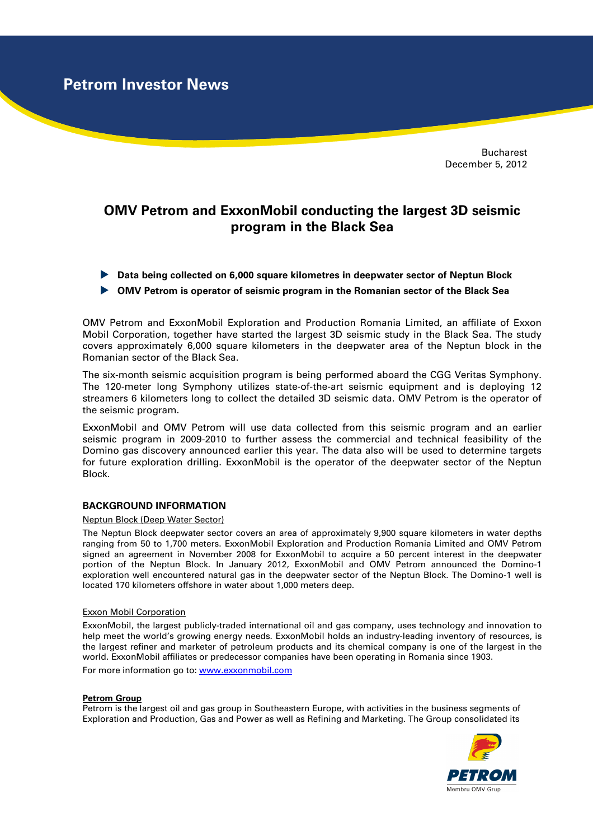**Petrom Investor News**

Bucharest December 5, 2012

# **OMV Petrom and ExxonMobil conducting the largest 3D seismic program in the Black Sea**

- **Data being collected on 6,000 square kilometres in deepwater sector of Neptun Block**
- **OMV Petrom is operator of seismic program in the Romanian sector of the Black Sea**

OMV Petrom and ExxonMobil Exploration and Production Romania Limited, an affiliate of Exxon Mobil Corporation, together have started the largest 3D seismic study in the Black Sea. The study covers approximately 6,000 square kilometers in the deepwater area of the Neptun block in the Romanian sector of the Black Sea.

The six-month seismic acquisition program is being performed aboard the CGG Veritas Symphony. The 120-meter long Symphony utilizes state-of-the-art seismic equipment and is deploying 12 streamers 6 kilometers long to collect the detailed 3D seismic data. OMV Petrom is the operator of the seismic program.

ExxonMobil and OMV Petrom will use data collected from this seismic program and an earlier seismic program in 2009-2010 to further assess the commercial and technical feasibility of the Domino gas discovery announced earlier this year. The data also will be used to determine targets for future exploration drilling. ExxonMobil is the operator of the deepwater sector of the Neptun Block.

## **BACKGROUND INFORMATION**

#### Neptun Block (Deep Water Sector)

The Neptun Block deepwater sector covers an area of approximately 9,900 square kilometers in water depths ranging from 50 to 1,700 meters. ExxonMobil Exploration and Production Romania Limited and OMV Petrom signed an agreement in November 2008 for ExxonMobil to acquire a 50 percent interest in the deepwater portion of the Neptun Block. In January 2012, ExxonMobil and OMV Petrom announced the Domino-1 exploration well encountered natural gas in the deepwater sector of the Neptun Block. The Domino-1 well is located 170 kilometers offshore in water about 1,000 meters deep.

#### Exxon Mobil Corporation

ExxonMobil, the largest publicly-traded international oil and gas company, uses technology and innovation to help meet the world's growing energy needs. ExxonMobil holds an industry-leading inventory of resources, is the largest refiner and marketer of petroleum products and its chemical company is one of the largest in the world. ExxonMobil affiliates or predecessor companies have been operating in Romania since 1903. For more information go to: www.exxonmobil.com

#### **Petrom Group**

Petrom is the largest oil and gas group in Southeastern Europe, with activities in the business segments of Exploration and Production, Gas and Power as well as Refining and Marketing. The Group consolidated its